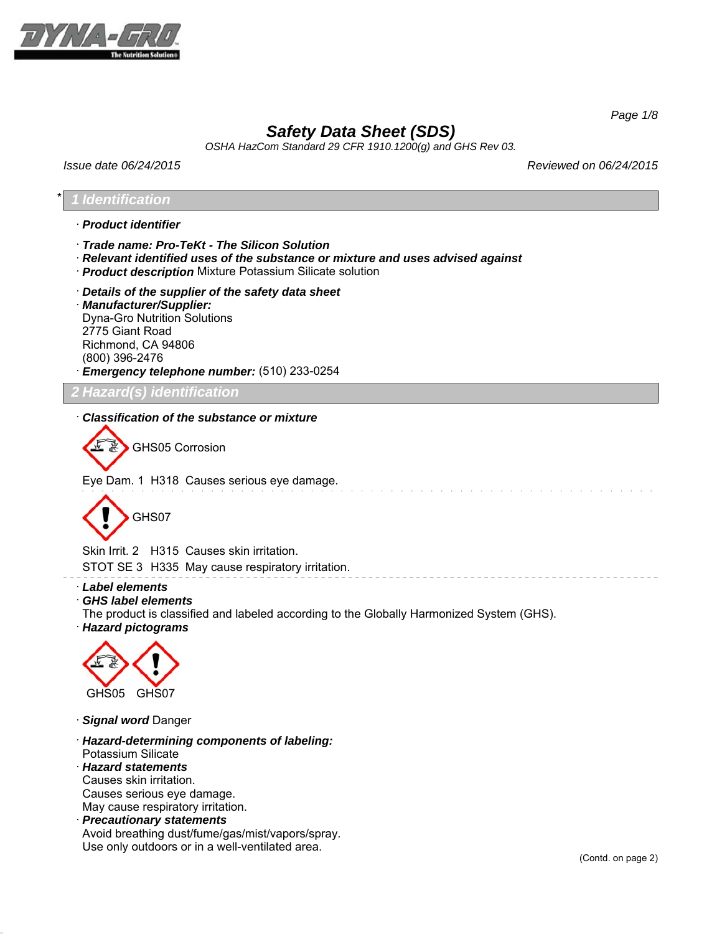

*Page 1/8*

# *Safety Data Sheet (SDS)*

*OSHA HazCom Standard 29 CFR 1910.1200(g) and GHS Rev 03.*

*Issue date 06/24/2015 Reviewed on 06/24/2015*

## \* *1 Identification*

### · *Product identifier*

- · *Trade name: Pro-TeKt The Silicon Solution*
- · *Relevant identified uses of the substance or mixture and uses advised against*
- · *Product description* Mixture Potassium Silicate solution
- · *Details of the supplier of the safety data sheet* · *Manufacturer/Supplier:* Dyna-Gro Nutrition Solutions 2775 Giant Road Richmond, CA 94806 (800) 396-2476 · *Emergency telephone number:* (510) 233-0254

*2 Hazard(s) identification*

## · *Classification of the substance or mixture*

GHS05 Corrosion

Eye Dam. 1 H318 Causes serious eye damage.



Skin Irrit. 2 H315 Causes skin irritation.

STOT SE 3 H335 May cause respiratory irritation.

- · *Label elements*
- · *GHS label elements*

The product is classified and labeled according to the Globally Harmonized System (GHS).

· *Hazard pictograms*



- · *Signal word* Danger
- · *Hazard-determining components of labeling:* Potassium Silicate
- · *Hazard statements*
- Causes skin irritation.

Causes serious eye damage.

May cause respiratory irritation.

· *Precautionary statements* Avoid breathing dust/fume/gas/mist/vapors/spray. Use only outdoors or in a well-ventilated area.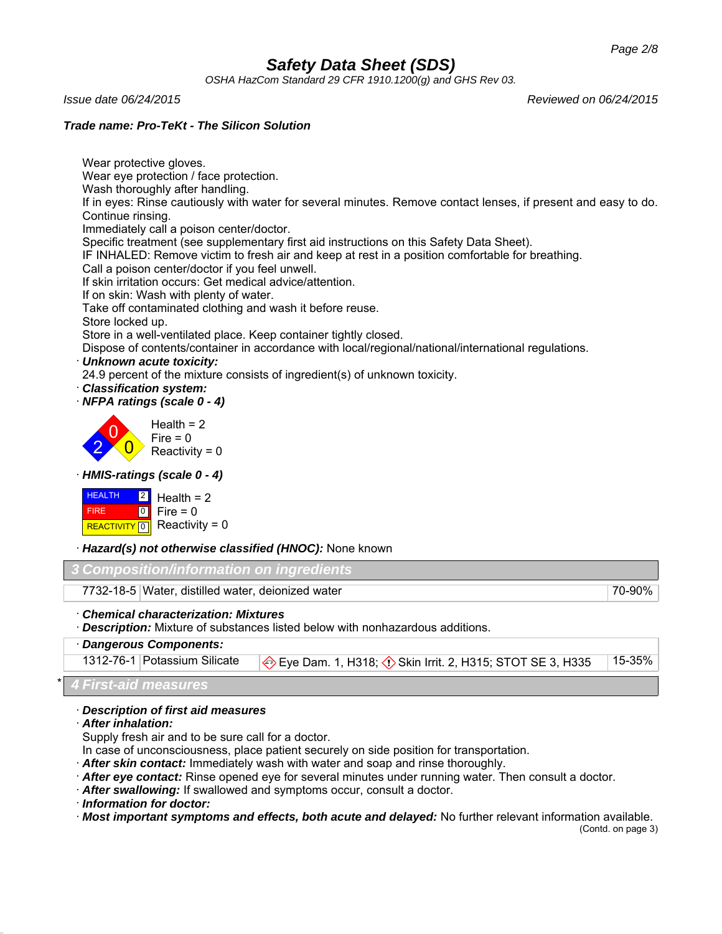*OSHA HazCom Standard 29 CFR 1910.1200(g) and GHS Rev 03.*

Wear protective gloves.

*Issue date 06/24/2015 Reviewed on 06/24/2015*

## *Trade name: Pro-TeKt - The Silicon Solution*

Wear eye protection / face protection. Wash thoroughly after handling. If in eyes: Rinse cautiously with water for several minutes. Remove contact lenses, if present and easy to do. Continue rinsing. Immediately call a poison center/doctor. Specific treatment (see supplementary first aid instructions on this Safety Data Sheet). IF INHALED: Remove victim to fresh air and keep at rest in a position comfortable for breathing. Call a poison center/doctor if you feel unwell. If skin irritation occurs: Get medical advice/attention. If on skin: Wash with plenty of water. Take off contaminated clothing and wash it before reuse. Store locked up. Store in a well-ventilated place. Keep container tightly closed. Dispose of contents/container in accordance with local/regional/national/international regulations. · *Unknown acute toxicity:* 24.9 percent of the mixture consists of ingredient(s) of unknown toxicity. · *Classification system:* · *NFPA ratings (scale 0 - 4)* 2 0 0  $Health = 2$ Fire  $= 0$  $Reactivity = 0$ · *HMIS-ratings (scale 0 - 4)* HEALTH FIRE REACTIVITY  $\boxed{0}$  Reactivity = 0  $\boxed{2}$  $\overline{0}$ Health  $= 2$  $Fire = 0$ · *Hazard(s) not otherwise classified (HNOC):* None known *3 Composition/information on ingredients* 7732-18-5 Water, distilled water, deionized water 70-90%

· *Chemical characterization: Mixtures*

· *Description:* Mixture of substances listed below with nonhazardous additions.

· *Dangerous Components:*

1312-76-1 Potassium Silicate  $\bigotimes$  Eye Dam. 1, H318;  $\bigcirc$  Skin Irrit. 2, H315; STOT SE 3, H335 15-35%

\* *4 First-aid measures*

## · *Description of first aid measures*

· *After inhalation:*

Supply fresh air and to be sure call for a doctor.

In case of unconsciousness, place patient securely on side position for transportation.

- · *After skin contact:* Immediately wash with water and soap and rinse thoroughly.
- · *After eye contact:* Rinse opened eye for several minutes under running water. Then consult a doctor.
- · *After swallowing:* If swallowed and symptoms occur, consult a doctor.

· *Information for doctor:*

· *Most important symptoms and effects, both acute and delayed:* No further relevant information available.

(Contd. on page 3)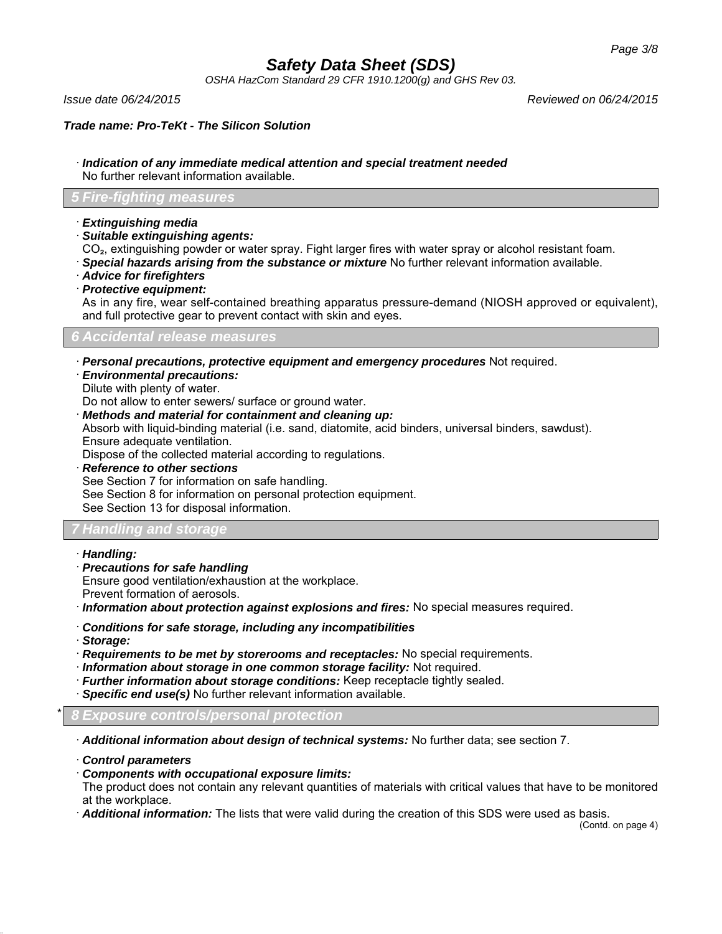*OSHA HazCom Standard 29 CFR 1910.1200(g) and GHS Rev 03.*

*Issue date 06/24/2015 Reviewed on 06/24/2015*

*Trade name: Pro-TeKt - The Silicon Solution*

· *Indication of any immediate medical attention and special treatment needed* No further relevant information available.

## *5 Fire-fighting measures*

- · *Extinguishing media*
- · *Suitable extinguishing agents:*
- CO₂, extinguishing powder or water spray. Fight larger fires with water spray or alcohol resistant foam.
- · *Special hazards arising from the substance or mixture* No further relevant information available.
- · *Advice for firefighters*
- · *Protective equipment:*

As in any fire, wear self-contained breathing apparatus pressure-demand (NIOSH approved or equivalent), and full protective gear to prevent contact with skin and eyes.

### *6 Accidental release measures*

· *Personal precautions, protective equipment and emergency procedures* Not required.

- · *Environmental precautions:*
- Dilute with plenty of water.

Do not allow to enter sewers/ surface or ground water.

· *Methods and material for containment and cleaning up:*

Absorb with liquid-binding material (i.e. sand, diatomite, acid binders, universal binders, sawdust). Ensure adequate ventilation.

Dispose of the collected material according to regulations.

· *Reference to other sections* See Section 7 for information on safe handling. See Section 8 for information on personal protection equipment. See Section 13 for disposal information.

## *7 Handling and storage*

- · *Handling:*
- · *Precautions for safe handling*

Ensure good ventilation/exhaustion at the workplace.

Prevent formation of aerosols.

· *Information about protection against explosions and fires:* No special measures required.

- · *Conditions for safe storage, including any incompatibilities*
- · *Storage:*
- · *Requirements to be met by storerooms and receptacles:* No special requirements.
- · *Information about storage in one common storage facility:* Not required.
- · *Further information about storage conditions:* Keep receptacle tightly sealed.
- · *Specific end use(s)* No further relevant information available.

\* *8 Exposure controls/personal protection*

· *Additional information about design of technical systems:* No further data; see section 7.

· *Control parameters*

· *Components with occupational exposure limits:*

The product does not contain any relevant quantities of materials with critical values that have to be monitored at the workplace.

· *Additional information:* The lists that were valid during the creation of this SDS were used as basis.

(Contd. on page 4)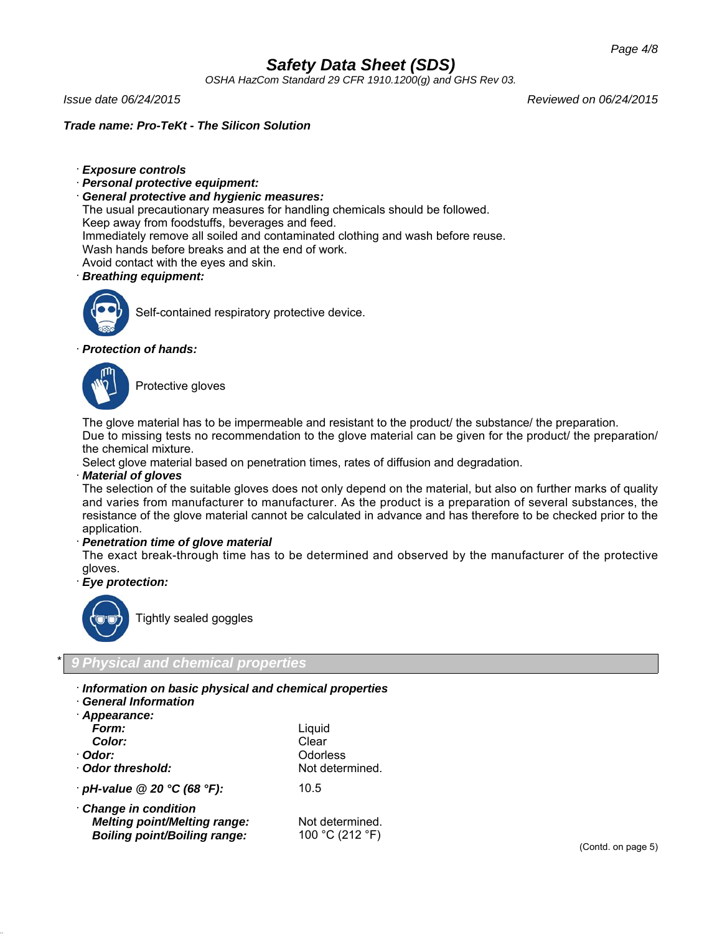*OSHA HazCom Standard 29 CFR 1910.1200(g) and GHS Rev 03.*

*Issue date 06/24/2015 Reviewed on 06/24/2015*

*Trade name: Pro-TeKt - The Silicon Solution*

- · *Exposure controls*
- · *Personal protective equipment:*
- · *General protective and hygienic measures:*

The usual precautionary measures for handling chemicals should be followed.

Keep away from foodstuffs, beverages and feed.

Immediately remove all soiled and contaminated clothing and wash before reuse.

- Wash hands before breaks and at the end of work.
- Avoid contact with the eyes and skin.

## · *Breathing equipment:*



Self-contained respiratory protective device.

## · *Protection of hands:*



Protective gloves

The glove material has to be impermeable and resistant to the product/ the substance/ the preparation.

Due to missing tests no recommendation to the glove material can be given for the product/ the preparation/ the chemical mixture.

Select glove material based on penetration times, rates of diffusion and degradation.

### · *Material of gloves*

The selection of the suitable gloves does not only depend on the material, but also on further marks of quality and varies from manufacturer to manufacturer. As the product is a preparation of several substances, the resistance of the glove material cannot be calculated in advance and has therefore to be checked prior to the application.

### · *Penetration time of glove material*

The exact break-through time has to be determined and observed by the manufacturer of the protective gloves.

· *Eye protection:*



Tightly sealed goggles

## \* *9 Physical and chemical properties*

- · *Information on basic physical and chemical properties*
- · *General Information*

| · Appearance:                                                                                     |                                    |
|---------------------------------------------------------------------------------------------------|------------------------------------|
| Form:                                                                                             | Liquid                             |
| Color:                                                                                            | Clear                              |
| · Odor:                                                                                           | Odorless                           |
| Odor threshold:                                                                                   | Not determined.                    |
| $\cdot$ pH-value @ 20 °C (68 °F):                                                                 | 10.5                               |
| Change in condition<br><b>Melting point/Melting range:</b><br><b>Boiling point/Boiling range:</b> | Not determined.<br>100 °C (212 °F) |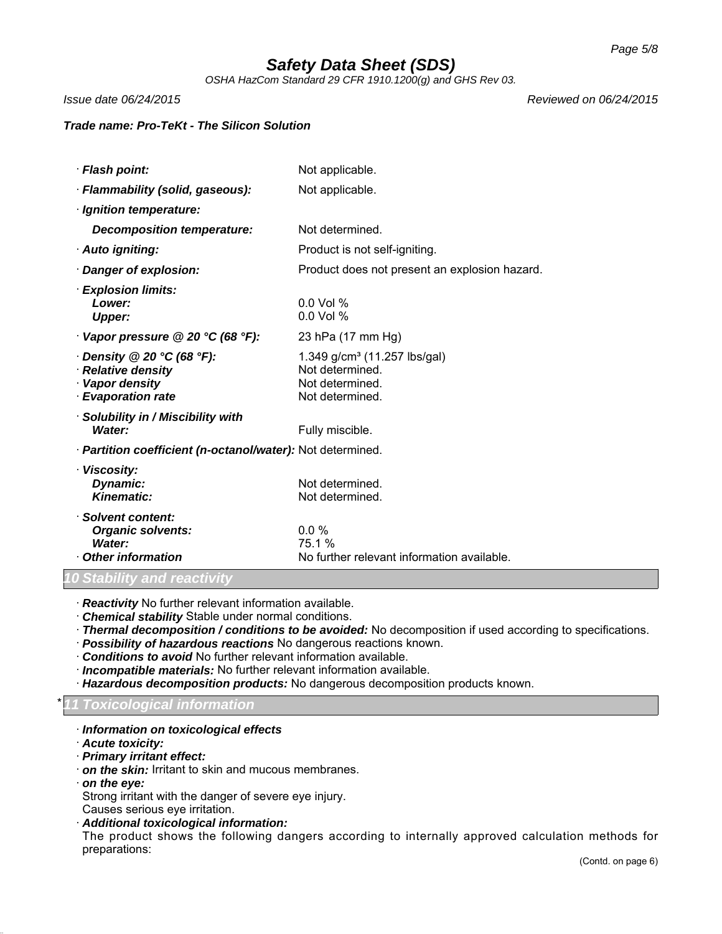*OSHA HazCom Standard 29 CFR 1910.1200(g) and GHS Rev 03.*

*Issue date 06/24/2015 Reviewed on 06/24/2015*

## *Trade name: Pro-TeKt - The Silicon Solution*

| · Flash point:                                                                                                         | Not applicable.                                                                                   |  |
|------------------------------------------------------------------------------------------------------------------------|---------------------------------------------------------------------------------------------------|--|
| · Flammability (solid, gaseous):                                                                                       | Not applicable.                                                                                   |  |
| · Ignition temperature:                                                                                                |                                                                                                   |  |
| Decomposition temperature:                                                                                             | Not determined.                                                                                   |  |
| · Auto igniting:                                                                                                       | Product is not self-igniting.                                                                     |  |
| Danger of explosion:                                                                                                   | Product does not present an explosion hazard.                                                     |  |
| $\cdot$ Explosion limits:<br>Lower:<br><b>Upper:</b>                                                                   | $0.0$ Vol %<br>$0.0$ Vol %                                                                        |  |
| Vapor pressure @ 20 °C (68 °F):                                                                                        | 23 hPa (17 mm Hg)                                                                                 |  |
| $\cdot$ Density @ 20 $\degree$ C (68 $\degree$ F):<br>· Relative density<br>· Vapor density<br><b>Evaporation rate</b> | 1.349 g/cm <sup>3</sup> (11.257 lbs/gal)<br>Not determined.<br>Not determined.<br>Not determined. |  |
| · Solubility in / Miscibility with<br>Water:                                                                           | Fully miscible.                                                                                   |  |
| · Partition coefficient (n-octanol/water): Not determined.                                                             |                                                                                                   |  |
| · Viscosity:<br>Dynamic:<br>Kinematic:                                                                                 | Not determined.<br>Not determined.                                                                |  |
| · Solvent content:<br><b>Organic solvents:</b><br>Water:<br>Other information                                          | $0.0\%$<br>75.1 %<br>No further relevant information available.                                   |  |

*10 Stability and reactivity*

· *Reactivity* No further relevant information available.

· *Chemical stability* Stable under normal conditions.

· *Thermal decomposition / conditions to be avoided:* No decomposition if used according to specifications.

- · *Possibility of hazardous reactions* No dangerous reactions known.
- · *Conditions to avoid* No further relevant information available.
- · *Incompatible materials:* No further relevant information available.
- · *Hazardous decomposition products:* No dangerous decomposition products known.

### \* *11 Toxicological information*

- · *Information on toxicological effects*
- · *Acute toxicity:*
- · *Primary irritant effect:*
- · *on the skin:* Irritant to skin and mucous membranes.
- · *on the eye:*

Strong irritant with the danger of severe eye injury.

- Causes serious eye irritation.
- · *Additional toxicological information:*

The product shows the following dangers according to internally approved calculation methods for preparations: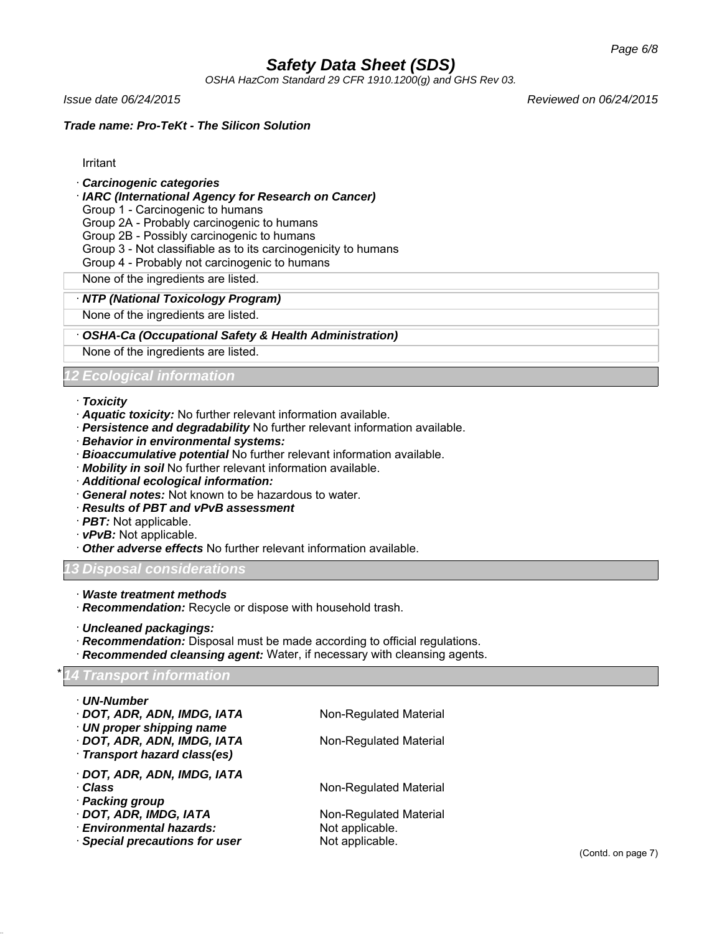*OSHA HazCom Standard 29 CFR 1910.1200(g) and GHS Rev 03.*

*Issue date 06/24/2015 Reviewed on 06/24/2015*

## *Trade name: Pro-TeKt - The Silicon Solution*

Irritant

## · *Carcinogenic categories*

## · *IARC (International Agency for Research on Cancer)*

Group 1 - Carcinogenic to humans

Group 2A - Probably carcinogenic to humans

Group 2B - Possibly carcinogenic to humans

Group 3 - Not classifiable as to its carcinogenicity to humans

Group 4 - Probably not carcinogenic to humans

None of the ingredients are listed.

### · *NTP (National Toxicology Program)*

None of the ingredients are listed.

### · *OSHA-Ca (Occupational Safety & Health Administration)*

None of the ingredients are listed.

## *12 Ecological information*

#### · *Toxicity*

- · *Aquatic toxicity:* No further relevant information available.
- · *Persistence and degradability* No further relevant information available.
- · *Behavior in environmental systems:*
- · *Bioaccumulative potential* No further relevant information available.
- · *Mobility in soil* No further relevant information available.
- · *Additional ecological information:*
- · *General notes:* Not known to be hazardous to water.
- · *Results of PBT and vPvB assessment*
- · *PBT:* Not applicable.
- · *vPvB:* Not applicable.
- **Other adverse effects** No further relevant information available.

### *13 Disposal considerations*

- · *Waste treatment methods*
- · *Recommendation:* Recycle or dispose with household trash.
- · *Uncleaned packagings:*
- · *Recommendation:* Disposal must be made according to official regulations.
- · *Recommended cleansing agent:* Water, if necessary with cleansing agents.

### \* *14 Transport information*

| · UN-Number                    |                        |  |
|--------------------------------|------------------------|--|
| · DOT, ADR, ADN, IMDG, IATA    | Non-Regulated Material |  |
| · UN proper shipping name      |                        |  |
| · DOT, ADR, ADN, IMDG, IATA    | Non-Regulated Material |  |
| · Transport hazard class(es)   |                        |  |
| · DOT, ADR, ADN, IMDG, IATA    |                        |  |
| · Class                        | Non-Regulated Material |  |
| · Packing group                |                        |  |
| · DOT, ADR, IMDG, IATA         | Non-Regulated Material |  |
| · Environmental hazards:       | Not applicable.        |  |
| · Special precautions for user | Not applicable.        |  |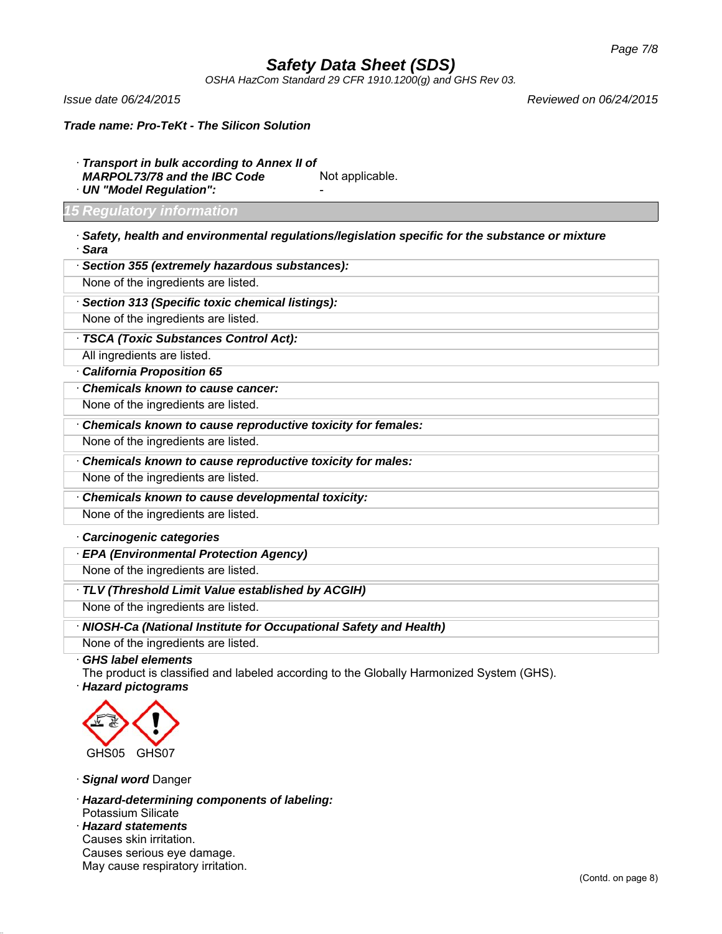*OSHA HazCom Standard 29 CFR 1910.1200(g) and GHS Rev 03.*

*Issue date 06/24/2015 Reviewed on 06/24/2015*

*Trade name: Pro-TeKt - The Silicon Solution*

- · *Transport in bulk according to Annex II of*
- *MARPOL73/78 and the IBC Code* Not applicable.
- · *UN "Model Regulation":* -

### *15 Regulatory information*

· *Safety, health and environmental regulations/legislation specific for the substance or mixture* · *Sara*

| · Section 355 (extremely hazardous substances): |  |  |
|-------------------------------------------------|--|--|
|-------------------------------------------------|--|--|

None of the ingredients are listed.

· *Section 313 (Specific toxic chemical listings):*

None of the ingredients are listed.

· *TSCA (Toxic Substances Control Act):*

All ingredients are listed.

· *California Proposition 65*

· *Chemicals known to cause cancer:*

None of the ingredients are listed.

· *Chemicals known to cause reproductive toxicity for females:*

None of the ingredients are listed.

· *Chemicals known to cause reproductive toxicity for males:*

None of the ingredients are listed.

· *Chemicals known to cause developmental toxicity:*

None of the ingredients are listed.

## · *Carcinogenic categories*

· *EPA (Environmental Protection Agency)*

None of the ingredients are listed.

· *TLV (Threshold Limit Value established by ACGIH)*

None of the ingredients are listed.

· *NIOSH-Ca (National Institute for Occupational Safety and Health)*

None of the ingredients are listed.

· *GHS label elements*

The product is classified and labeled according to the Globally Harmonized System (GHS).

· *Hazard pictograms*



· *Signal word* Danger

· *Hazard-determining components of labeling:*

Potassium Silicate

· *Hazard statements* Causes skin irritation. Causes serious eye damage. May cause respiratory irritation.